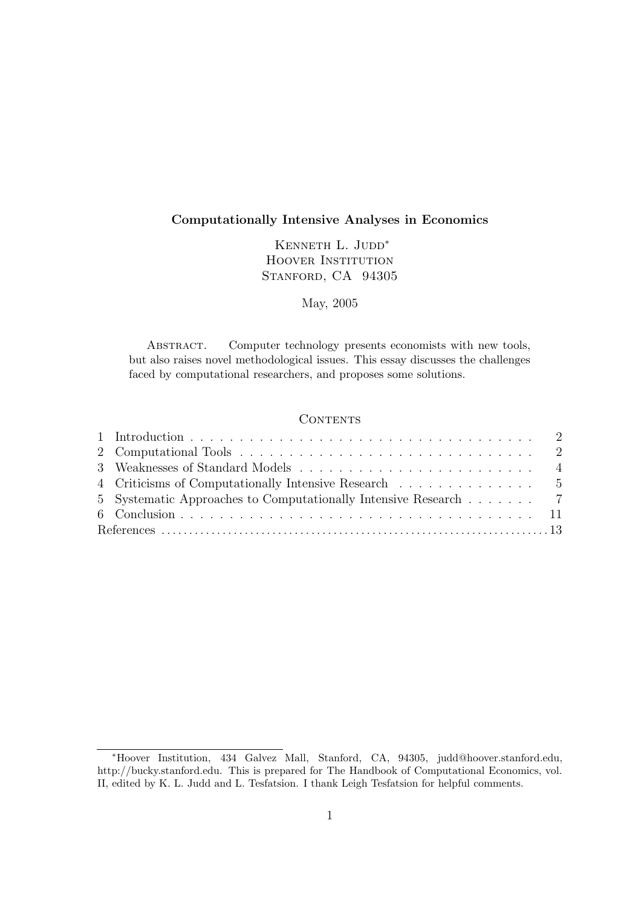# Computationally Intensive Analyses in Economics

KENNETH L. JUDD<sup>\*</sup> HOOVER INSTITUTION STANFORD, CA 94305

May, 2005

ABSTRACT. Computer technology presents economists with new tools, but also raises novel methodological issues. This essay discusses the challenges faced by computational researchers, and proposes some solutions.

## **CONTENTS**

|  | 4 Criticisms of Computationally Intensive Research 5            |
|--|-----------------------------------------------------------------|
|  | 5 Systematic Approaches to Computationally Intensive Research 7 |
|  |                                                                 |
|  |                                                                 |

<sup>∗</sup>Hoover Institution, 434 Galvez Mall, Stanford, CA, 94305, judd@hoover.stanford.edu, http://bucky.stanford.edu. This is prepared for The Handbook of Computational Economics, vol. II, edited by K. L. Judd and L. Tesfatsion. I thank Leigh Tesfatsion for helpful comments.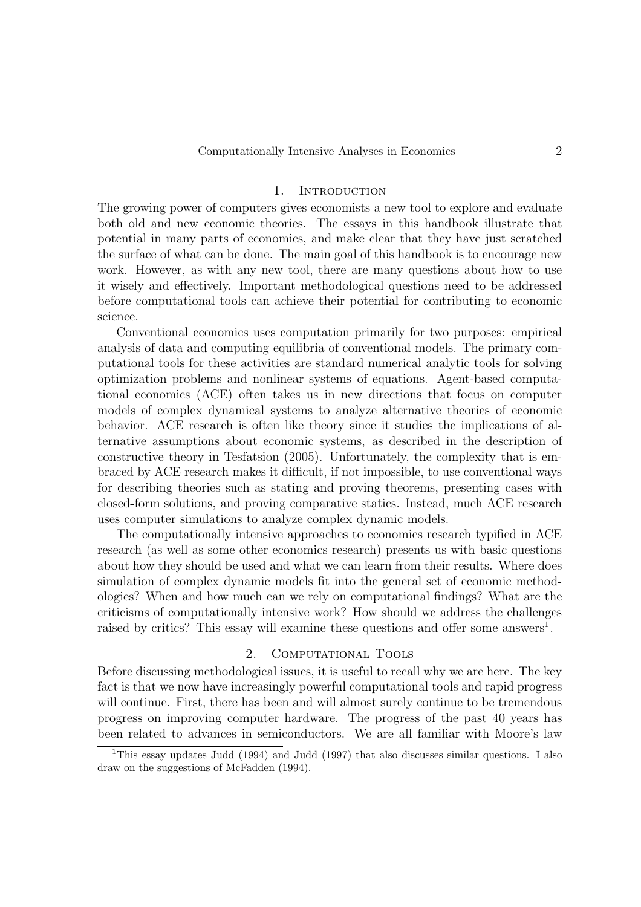#### 1. INTRODUCTION

The growing power of computers gives economists a new tool to explore and evaluate both old and new economic theories. The essays in this handbook illustrate that potential in many parts of economics, and make clear that they have just scratched the surface of what can be done. The main goal of this handbook is to encourage new work. However, as with any new tool, there are many questions about how to use it wisely and effectively. Important methodological questions need to be addressed before computational tools can achieve their potential for contributing to economic science.

Conventional economics uses computation primarily for two purposes: empirical analysis of data and computing equilibria of conventional models. The primary computational tools for these activities are standard numerical analytic tools for solving optimization problems and nonlinear systems of equations. Agent-based computational economics (ACE) often takes us in new directions that focus on computer models of complex dynamical systems to analyze alternative theories of economic behavior. ACE research is often like theory since it studies the implications of alternative assumptions about economic systems, as described in the description of constructive theory in Tesfatsion (2005). Unfortunately, the complexity that is embraced by ACE research makes it difficult, if not impossible, to use conventional ways for describing theories such as stating and proving theorems, presenting cases with closed-form solutions, and proving comparative statics. Instead, much ACE research uses computer simulations to analyze complex dynamic models.

The computationally intensive approaches to economics research typified in ACE research (as well as some other economics research) presents us with basic questions about how they should be used and what we can learn from their results. Where does simulation of complex dynamic models fit into the general set of economic methodologies? When and how much can we rely on computational findings? What are the criticisms of computationally intensive work? How should we address the challenges raised by critics? This essay will examine these questions and offer some answers<sup>1</sup>.

## 2. COMPUTATIONAL TOOLS

Before discussing methodological issues, it is useful to recall why we are here. The key fact is that we now have increasingly powerful computational tools and rapid progress will continue. First, there has been and will almost surely continue to be tremendous progress on improving computer hardware. The progress of the past 40 years has been related to advances in semiconductors. We are all familiar with Moore's law

<sup>&</sup>lt;sup>1</sup>This essay updates Judd (1994) and Judd (1997) that also discusses similar questions. I also draw on the suggestions of McFadden (1994).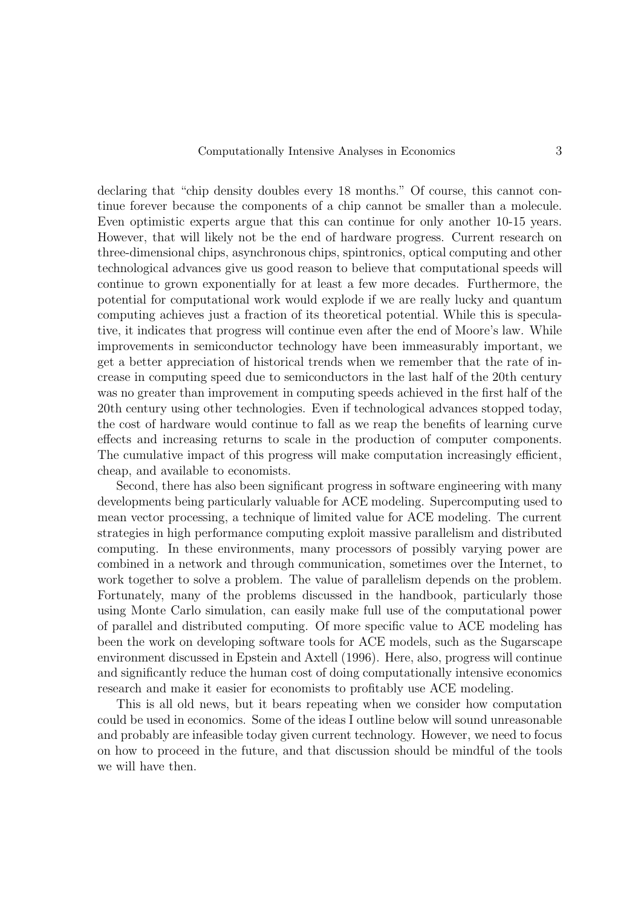declaring that "chip density doubles every 18 months." Of course, this cannot continue forever because the components of a chip cannot be smaller than a molecule. Even optimistic experts argue that this can continue for only another 10-15 years. However, that will likely not be the end of hardware progress. Current research on three-dimensional chips, asynchronous chips, spintronics, optical computing and other technological advances give us good reason to believe that computational speeds will continue to grown exponentially for at least a few more decades. Furthermore, the potential for computational work would explode if we are really lucky and quantum computing achieves just a fraction of its theoretical potential. While this is speculative, it indicates that progress will continue even after the end of Moore's law. While improvements in semiconductor technology have been immeasurably important, we get a better appreciation of historical trends when we remember that the rate of increase in computing speed due to semiconductors in the last half of the 20th century was no greater than improvement in computing speeds achieved in the first half of the 20th century using other technologies. Even if technological advances stopped today, the cost of hardware would continue to fall as we reap the benefits of learning curve effects and increasing returns to scale in the production of computer components. The cumulative impact of this progress will make computation increasingly efficient, cheap, and available to economists.

Second, there has also been significant progress in software engineering with many developments being particularly valuable for ACE modeling. Supercomputing used to mean vector processing, a technique of limited value for ACE modeling. The current strategies in high performance computing exploit massive parallelism and distributed computing. In these environments, many processors of possibly varying power are combined in a network and through communication, sometimes over the Internet, to work together to solve a problem. The value of parallelism depends on the problem. Fortunately, many of the problems discussed in the handbook, particularly those using Monte Carlo simulation, can easily make full use of the computational power of parallel and distributed computing. Of more specific value to ACE modeling has been the work on developing software tools for ACE models, such as the Sugarscape environment discussed in Epstein and Axtell (1996). Here, also, progress will continue and significantly reduce the human cost of doing computationally intensive economics research and make it easier for economists to profitably use ACE modeling.

This is all old news, but it bears repeating when we consider how computation could be used in economics. Some of the ideas I outline below will sound unreasonable and probably are infeasible today given current technology. However, we need to focus on how to proceed in the future, and that discussion should be mindful of the tools we will have then.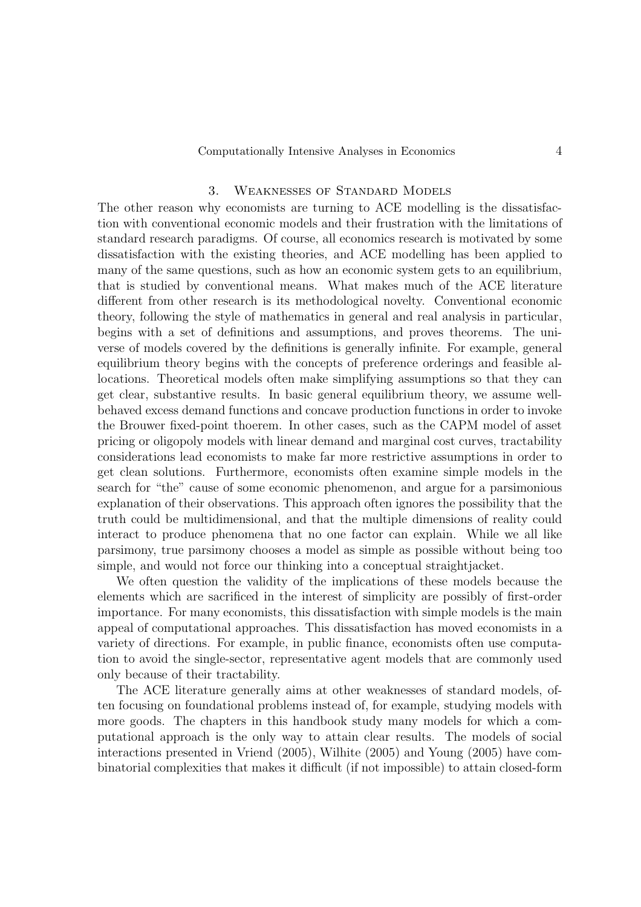### 3. Weaknesses of Standard Models

The other reason why economists are turning to ACE modelling is the dissatisfaction with conventional economic models and their frustration with the limitations of standard research paradigms. Of course, all economics research is motivated by some dissatisfaction with the existing theories, and ACE modelling has been applied to many of the same questions, such as how an economic system gets to an equilibrium, that is studied by conventional means. What makes much of the ACE literature different from other research is its methodological novelty. Conventional economic theory, following the style of mathematics in general and real analysis in particular, begins with a set of definitions and assumptions, and proves theorems. The universe of models covered by the definitions is generally infinite. For example, general equilibrium theory begins with the concepts of preference orderings and feasible allocations. Theoretical models often make simplifying assumptions so that they can get clear, substantive results. In basic general equilibrium theory, we assume wellbehaved excess demand functions and concave production functions in order to invoke the Brouwer fixed-point thoerem. In other cases, such as the CAPM model of asset pricing or oligopoly models with linear demand and marginal cost curves, tractability considerations lead economists to make far more restrictive assumptions in order to get clean solutions. Furthermore, economists often examine simple models in the search for "the" cause of some economic phenomenon, and argue for a parsimonious explanation of their observations. This approach often ignores the possibility that the truth could be multidimensional, and that the multiple dimensions of reality could interact to produce phenomena that no one factor can explain. While we all like parsimony, true parsimony chooses a model as simple as possible without being too simple, and would not force our thinking into a conceptual straightjacket.

We often question the validity of the implications of these models because the elements which are sacrificed in the interest of simplicity are possibly of first-order importance. For many economists, this dissatisfaction with simple models is the main appeal of computational approaches. This dissatisfaction has moved economists in a variety of directions. For example, in public finance, economists often use computation to avoid the single-sector, representative agent models that are commonly used only because of their tractability.

The ACE literature generally aims at other weaknesses of standard models, often focusing on foundational problems instead of, for example, studying models with more goods. The chapters in this handbook study many models for which a computational approach is the only way to attain clear results. The models of social interactions presented in Vriend (2005), Wilhite (2005) and Young (2005) have combinatorial complexities that makes it difficult (if not impossible) to attain closed-form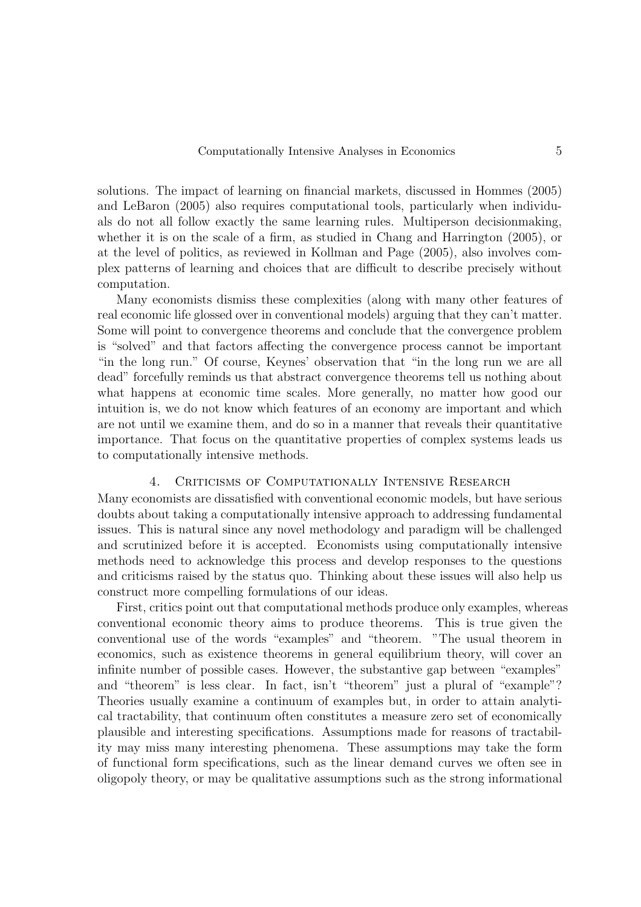solutions. The impact of learning on financial markets, discussed in Hommes (2005) and LeBaron (2005) also requires computational tools, particularly when individuals do not all follow exactly the same learning rules. Multiperson decisionmaking, whether it is on the scale of a firm, as studied in Chang and Harrington (2005), or at the level of politics, as reviewed in Kollman and Page (2005), also involves complex patterns of learning and choices that are difficult to describe precisely without computation.

Many economists dismiss these complexities (along with many other features of real economic life glossed over in conventional models) arguing that they can't matter. Some will point to convergence theorems and conclude that the convergence problem is "solved" and that factors affecting the convergence process cannot be important "in the long run." Of course, Keynes' observation that "in the long run we are all dead" forcefully reminds us that abstract convergence theorems tell us nothing about what happens at economic time scales. More generally, no matter how good our intuition is, we do not know which features of an economy are important and which are not until we examine them, and do so in a manner that reveals their quantitative importance. That focus on the quantitative properties of complex systems leads us to computationally intensive methods.

# 4. Criticisms of Computationally Intensive Research

Many economists are dissatisfied with conventional economic models, but have serious doubts about taking a computationally intensive approach to addressing fundamental issues. This is natural since any novel methodology and paradigm will be challenged and scrutinized before it is accepted. Economists using computationally intensive methods need to acknowledge this process and develop responses to the questions and criticisms raised by the status quo. Thinking about these issues will also help us construct more compelling formulations of our ideas.

First, critics point out that computational methods produce only examples, whereas conventional economic theory aims to produce theorems. This is true given the conventional use of the words "examples" and "theorem. "The usual theorem in economics, such as existence theorems in general equilibrium theory, will cover an infinite number of possible cases. However, the substantive gap between "examples" and "theorem" is less clear. In fact, isn't "theorem" just a plural of "example"? Theories usually examine a continuum of examples but, in order to attain analytical tractability, that continuum often constitutes a measure zero set of economically plausible and interesting specifications. Assumptions made for reasons of tractability may miss many interesting phenomena. These assumptions may take the form of functional form specifications, such as the linear demand curves we often see in oligopoly theory, or may be qualitative assumptions such as the strong informational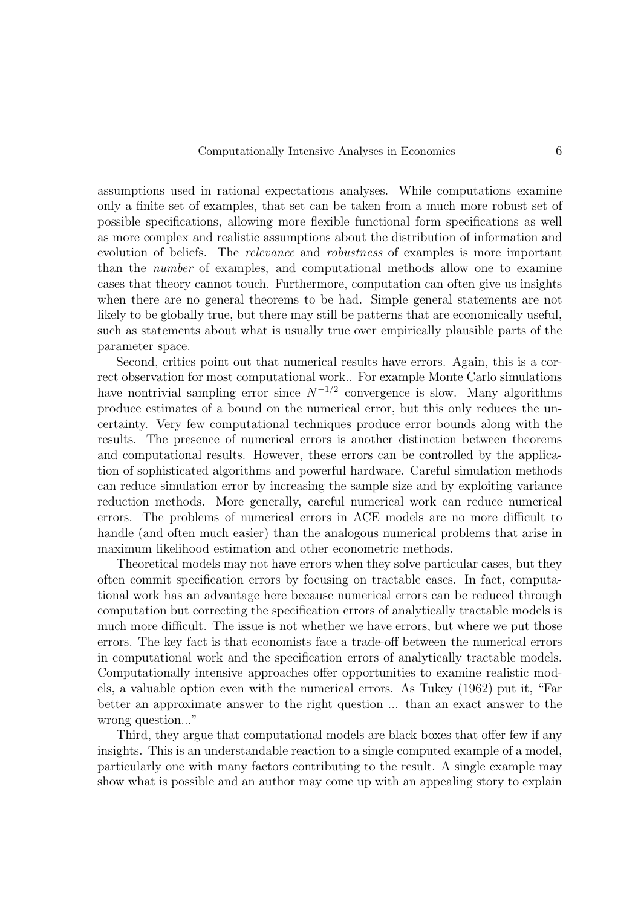assumptions used in rational expectations analyses. While computations examine only a finite set of examples, that set can be taken from a much more robust set of possible specifications, allowing more flexible functional form specifications as well as more complex and realistic assumptions about the distribution of information and evolution of beliefs. The relevance and robustness of examples is more important than the number of examples, and computational methods allow one to examine cases that theory cannot touch. Furthermore, computation can often give us insights when there are no general theorems to be had. Simple general statements are not likely to be globally true, but there may still be patterns that are economically useful, such as statements about what is usually true over empirically plausible parts of the parameter space.

Second, critics point out that numerical results have errors. Again, this is a correct observation for most computational work.. For example Monte Carlo simulations have nontrivial sampling error since  $N^{-1/2}$  convergence is slow. Many algorithms produce estimates of a bound on the numerical error, but this only reduces the uncertainty. Very few computational techniques produce error bounds along with the results. The presence of numerical errors is another distinction between theorems and computational results. However, these errors can be controlled by the application of sophisticated algorithms and powerful hardware. Careful simulation methods can reduce simulation error by increasing the sample size and by exploiting variance reduction methods. More generally, careful numerical work can reduce numerical errors. The problems of numerical errors in ACE models are no more difficult to handle (and often much easier) than the analogous numerical problems that arise in maximum likelihood estimation and other econometric methods.

Theoretical models may not have errors when they solve particular cases, but they often commit specification errors by focusing on tractable cases. In fact, computational work has an advantage here because numerical errors can be reduced through computation but correcting the specification errors of analytically tractable models is much more difficult. The issue is not whether we have errors, but where we put those errors. The key fact is that economists face a trade-off between the numerical errors in computational work and the specification errors of analytically tractable models. Computationally intensive approaches offer opportunities to examine realistic models, a valuable option even with the numerical errors. As Tukey (1962) put it, "Far better an approximate answer to the right question ... than an exact answer to the wrong question..."

Third, they argue that computational models are black boxes that offer few if any insights. This is an understandable reaction to a single computed example of a model, particularly one with many factors contributing to the result. A single example may show what is possible and an author may come up with an appealing story to explain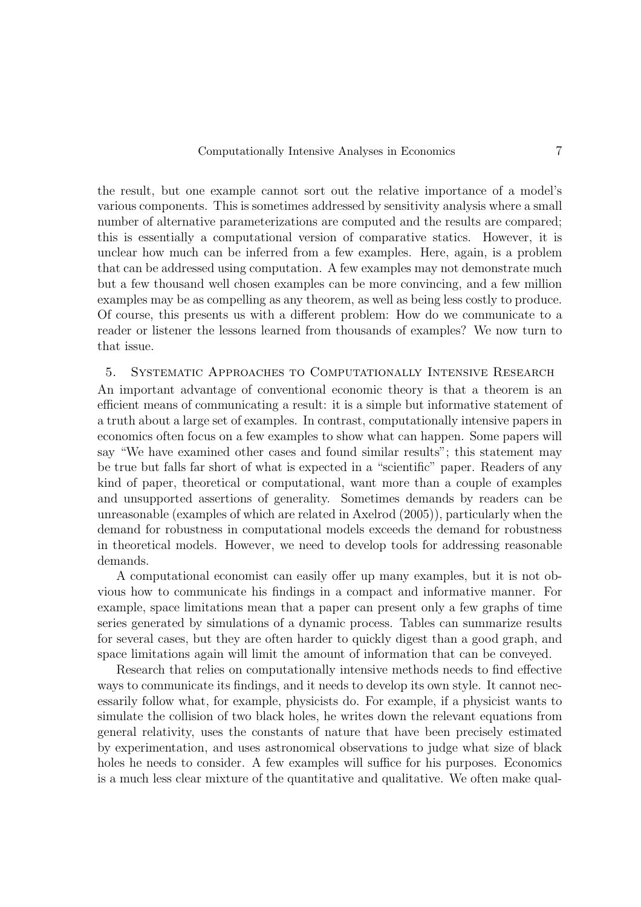the result, but one example cannot sort out the relative importance of a model's various components. This is sometimes addressed by sensitivity analysis where a small number of alternative parameterizations are computed and the results are compared; this is essentially a computational version of comparative statics. However, it is unclear how much can be inferred from a few examples. Here, again, is a problem that can be addressed using computation. A few examples may not demonstrate much but a few thousand well chosen examples can be more convincing, and a few million examples may be as compelling as any theorem, as well as being less costly to produce. Of course, this presents us with a different problem: How do we communicate to a reader or listener the lessons learned from thousands of examples? We now turn to that issue.

# 5. Systematic Approaches to Computationally Intensive Research An important advantage of conventional economic theory is that a theorem is an efficient means of communicating a result: it is a simple but informative statement of a truth about a large set of examples. In contrast, computationally intensive papers in economics often focus on a few examples to show what can happen. Some papers will say "We have examined other cases and found similar results"; this statement may be true but falls far short of what is expected in a "scientific" paper. Readers of any kind of paper, theoretical or computational, want more than a couple of examples and unsupported assertions of generality. Sometimes demands by readers can be unreasonable (examples of which are related in Axelrod (2005)), particularly when the demand for robustness in computational models exceeds the demand for robustness in theoretical models. However, we need to develop tools for addressing reasonable demands.

A computational economist can easily offer up many examples, but it is not obvious how to communicate his findings in a compact and informative manner. For example, space limitations mean that a paper can present only a few graphs of time series generated by simulations of a dynamic process. Tables can summarize results for several cases, but they are often harder to quickly digest than a good graph, and space limitations again will limit the amount of information that can be conveyed.

Research that relies on computationally intensive methods needs to find effective ways to communicate its findings, and it needs to develop its own style. It cannot necessarily follow what, for example, physicists do. For example, if a physicist wants to simulate the collision of two black holes, he writes down the relevant equations from general relativity, uses the constants of nature that have been precisely estimated by experimentation, and uses astronomical observations to judge what size of black holes he needs to consider. A few examples will suffice for his purposes. Economics is a much less clear mixture of the quantitative and qualitative. We often make qual-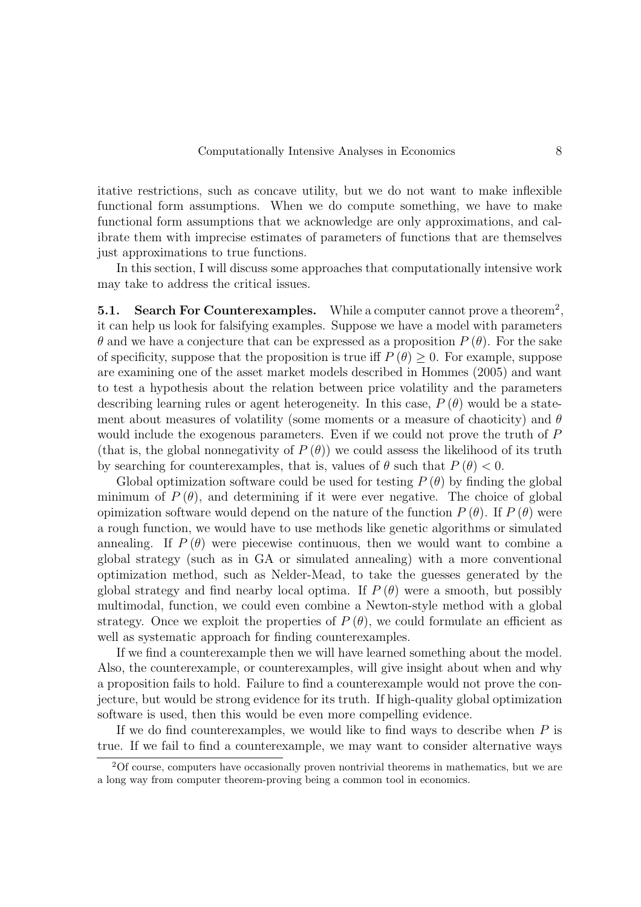itative restrictions, such as concave utility, but we do not want to make inflexible functional form assumptions. When we do compute something, we have to make functional form assumptions that we acknowledge are only approximations, and calibrate them with imprecise estimates of parameters of functions that are themselves just approximations to true functions.

In this section, I will discuss some approaches that computationally intensive work may take to address the critical issues.

**5.1.** Search For Counterexamples. While a computer cannot prove a theorem<sup>2</sup>, it can help us look for falsifying examples. Suppose we have a model with parameters  $\theta$  and we have a conjecture that can be expressed as a proposition  $P(\theta)$ . For the sake of specificity, suppose that the proposition is true iff  $P(\theta) \geq 0$ . For example, suppose are examining one of the asset market models described in Hommes (2005) and want to test a hypothesis about the relation between price volatility and the parameters describing learning rules or agent heterogeneity. In this case,  $P(\theta)$  would be a statement about measures of volatility (some moments or a measure of chaoticity) and  $\theta$ would include the exogenous parameters. Even if we could not prove the truth of P (that is, the global nonnegativity of  $P(\theta)$ ) we could assess the likelihood of its truth by searching for counterexamples, that is, values of  $\theta$  such that  $P(\theta) < 0$ .

Global optimization software could be used for testing  $P(\theta)$  by finding the global minimum of  $P(\theta)$ , and determining if it were ever negative. The choice of global opimization software would depend on the nature of the function  $P(\theta)$ . If  $P(\theta)$  were a rough function, we would have to use methods like genetic algorithms or simulated annealing. If  $P(\theta)$  were piecewise continuous, then we would want to combine a global strategy (such as in GA or simulated annealing) with a more conventional optimization method, such as Nelder-Mead, to take the guesses generated by the global strategy and find nearby local optima. If  $P(\theta)$  were a smooth, but possibly multimodal, function, we could even combine a Newton-style method with a global strategy. Once we exploit the properties of  $P(\theta)$ , we could formulate an efficient as well as systematic approach for finding counterexamples.

If we find a counterexample then we will have learned something about the model. Also, the counterexample, or counterexamples, will give insight about when and why a proposition fails to hold. Failure to find a counterexample would not prove the conjecture, but would be strong evidence for its truth. If high-quality global optimization software is used, then this would be even more compelling evidence.

If we do find counterexamples, we would like to find ways to describe when  $P$  is true. If we fail to find a counterexample, we may want to consider alternative ways

<sup>&</sup>lt;sup>2</sup>Of course, computers have occasionally proven nontrivial theorems in mathematics, but we are a long way from computer theorem-proving being a common tool in economics.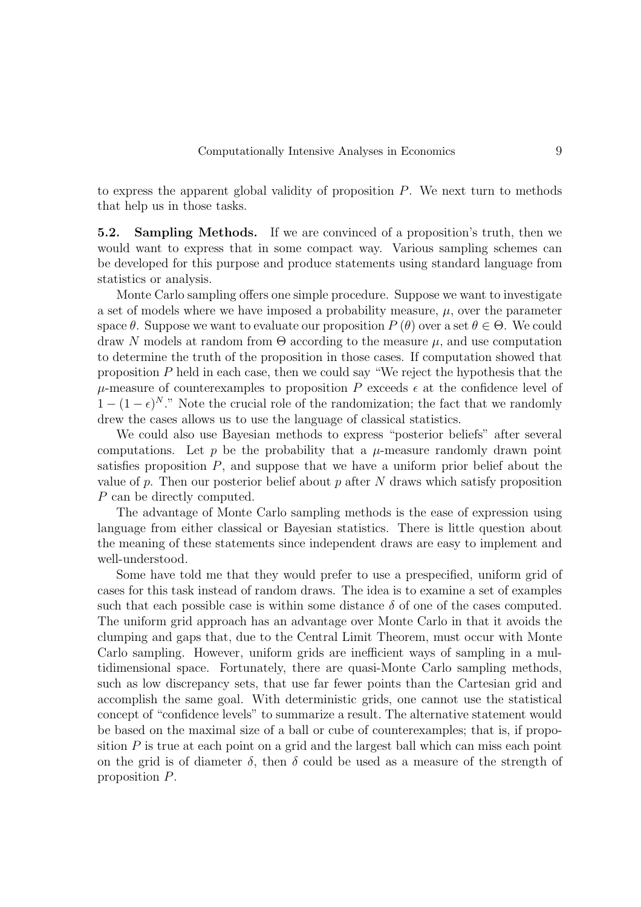to express the apparent global validity of proposition P. We next turn to methods that help us in those tasks.

5.2. Sampling Methods. If we are convinced of a proposition's truth, then we would want to express that in some compact way. Various sampling schemes can be developed for this purpose and produce statements using standard language from statistics or analysis.

Monte Carlo sampling offers one simple procedure. Suppose we want to investigate a set of models where we have imposed a probability measure,  $\mu$ , over the parameter space  $\theta$ . Suppose we want to evaluate our proposition  $P(\theta)$  over a set  $\theta \in \Theta$ . We could draw N models at random from  $\Theta$  according to the measure  $\mu$ , and use computation to determine the truth of the proposition in those cases. If computation showed that proposition  $P$  held in each case, then we could say "We reject the hypothesis that the  $\mu$ -measure of counterexamples to proposition P exceeds  $\epsilon$  at the confidence level of  $1 - (1 - \epsilon)^N$ ." Note the crucial role of the randomization; the fact that we randomly drew the cases allows us to use the language of classical statistics.

We could also use Bayesian methods to express "posterior beliefs" after several computations. Let p be the probability that a  $\mu$ -measure randomly drawn point satisfies proposition  $P$ , and suppose that we have a uniform prior belief about the value of p. Then our posterior belief about p after  $N$  draws which satisfy proposition P can be directly computed.

The advantage of Monte Carlo sampling methods is the ease of expression using language from either classical or Bayesian statistics. There is little question about the meaning of these statements since independent draws are easy to implement and well-understood.

Some have told me that they would prefer to use a prespecified, uniform grid of cases for this task instead of random draws. The idea is to examine a set of examples such that each possible case is within some distance  $\delta$  of one of the cases computed. The uniform grid approach has an advantage over Monte Carlo in that it avoids the clumping and gaps that, due to the Central Limit Theorem, must occur with Monte Carlo sampling. However, uniform grids are inefficient ways of sampling in a multidimensional space. Fortunately, there are quasi-Monte Carlo sampling methods, such as low discrepancy sets, that use far fewer points than the Cartesian grid and accomplish the same goal. With deterministic grids, one cannot use the statistical concept of "confidence levels" to summarize a result. The alternative statement would be based on the maximal size of a ball or cube of counterexamples; that is, if proposition  $P$  is true at each point on a grid and the largest ball which can miss each point on the grid is of diameter  $\delta$ , then  $\delta$  could be used as a measure of the strength of proposition P.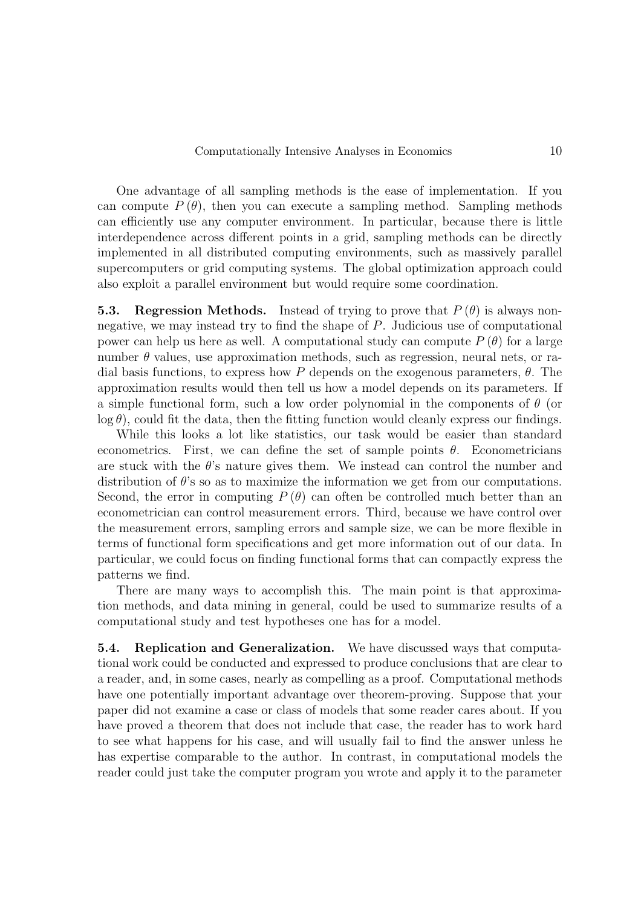One advantage of all sampling methods is the ease of implementation. If you can compute  $P(\theta)$ , then you can execute a sampling method. Sampling methods can efficiently use any computer environment. In particular, because there is little interdependence across different points in a grid, sampling methods can be directly implemented in all distributed computing environments, such as massively parallel supercomputers or grid computing systems. The global optimization approach could also exploit a parallel environment but would require some coordination.

5.3. Regression Methods. Instead of trying to prove that  $P(\theta)$  is always nonnegative, we may instead try to find the shape of P. Judicious use of computational power can help us here as well. A computational study can compute  $P(\theta)$  for a large number  $\theta$  values, use approximation methods, such as regression, neural nets, or radial basis functions, to express how P depends on the exogenous parameters,  $\theta$ . The approximation results would then tell us how a model depends on its parameters. If a simple functional form, such a low order polynomial in the components of  $\theta$  (or  $\log \theta$ , could fit the data, then the fitting function would cleanly express our findings.

While this looks a lot like statistics, our task would be easier than standard econometrics. First, we can define the set of sample points  $\theta$ . Econometricians are stuck with the  $\theta$ 's nature gives them. We instead can control the number and distribution of  $\theta$ 's so as to maximize the information we get from our computations. Second, the error in computing  $P(\theta)$  can often be controlled much better than an econometrician can control measurement errors. Third, because we have control over the measurement errors, sampling errors and sample size, we can be more flexible in terms of functional form specifications and get more information out of our data. In particular, we could focus on finding functional forms that can compactly express the patterns we find.

There are many ways to accomplish this. The main point is that approximation methods, and data mining in general, could be used to summarize results of a computational study and test hypotheses one has for a model.

**5.4. Replication and Generalization.** We have discussed ways that computational work could be conducted and expressed to produce conclusions that are clear to a reader, and, in some cases, nearly as compelling as a proof. Computational methods have one potentially important advantage over theorem-proving. Suppose that your paper did not examine a case or class of models that some reader cares about. If you have proved a theorem that does not include that case, the reader has to work hard to see what happens for his case, and will usually fail to find the answer unless he has expertise comparable to the author. In contrast, in computational models the reader could just take the computer program you wrote and apply it to the parameter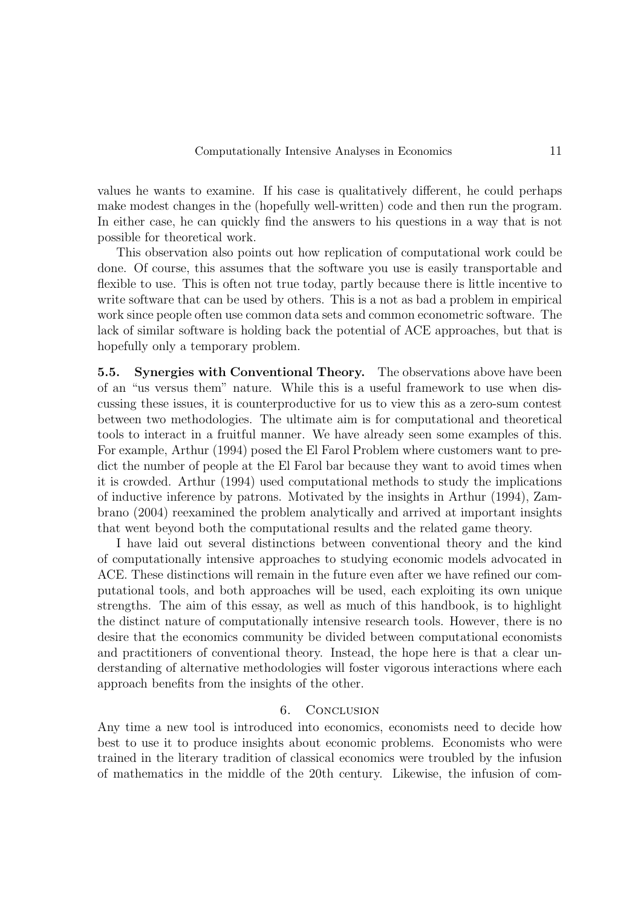values he wants to examine. If his case is qualitatively different, he could perhaps make modest changes in the (hopefully well-written) code and then run the program. In either case, he can quickly find the answers to his questions in a way that is not possible for theoretical work.

This observation also points out how replication of computational work could be done. Of course, this assumes that the software you use is easily transportable and flexible to use. This is often not true today, partly because there is little incentive to write software that can be used by others. This is a not as bad a problem in empirical work since people often use common data sets and common econometric software. The lack of similar software is holding back the potential of ACE approaches, but that is hopefully only a temporary problem.

5.5. Synergies with Conventional Theory. The observations above have been of an "us versus them" nature. While this is a useful framework to use when discussing these issues, it is counterproductive for us to view this as a zero-sum contest between two methodologies. The ultimate aim is for computational and theoretical tools to interact in a fruitful manner. We have already seen some examples of this. For example, Arthur (1994) posed the El Farol Problem where customers want to predict the number of people at the El Farol bar because they want to avoid times when it is crowded. Arthur (1994) used computational methods to study the implications of inductive inference by patrons. Motivated by the insights in Arthur (1994), Zambrano (2004) reexamined the problem analytically and arrived at important insights that went beyond both the computational results and the related game theory.

I have laid out several distinctions between conventional theory and the kind of computationally intensive approaches to studying economic models advocated in ACE. These distinctions will remain in the future even after we have refined our computational tools, and both approaches will be used, each exploiting its own unique strengths. The aim of this essay, as well as much of this handbook, is to highlight the distinct nature of computationally intensive research tools. However, there is no desire that the economics community be divided between computational economists and practitioners of conventional theory. Instead, the hope here is that a clear understanding of alternative methodologies will foster vigorous interactions where each approach benefits from the insights of the other.

#### 6. Conclusion

Any time a new tool is introduced into economics, economists need to decide how best to use it to produce insights about economic problems. Economists who were trained in the literary tradition of classical economics were troubled by the infusion of mathematics in the middle of the 20th century. Likewise, the infusion of com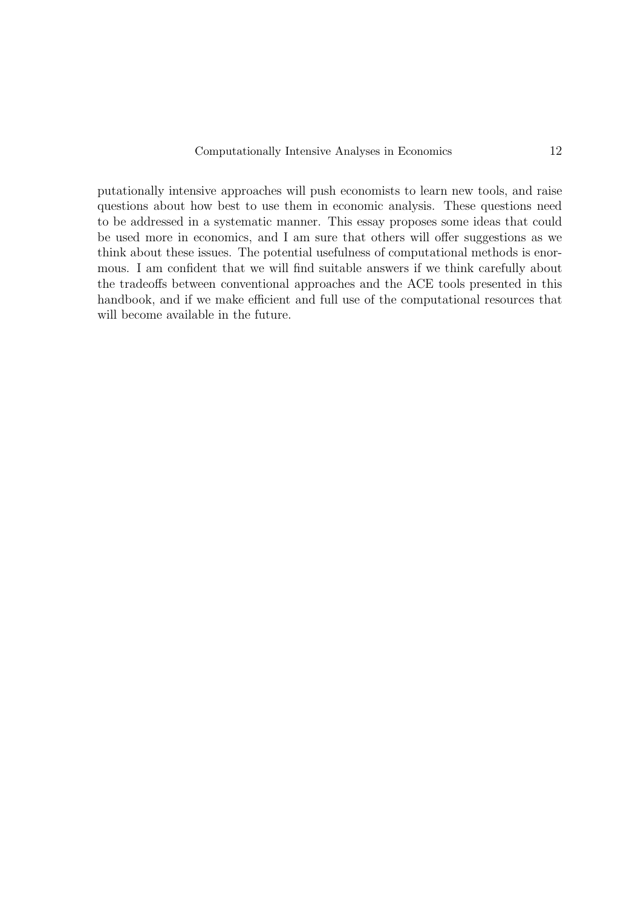putationally intensive approaches will push economists to learn new tools, and raise questions about how best to use them in economic analysis. These questions need to be addressed in a systematic manner. This essay proposes some ideas that could be used more in economics, and I am sure that others will offer suggestions as we think about these issues. The potential usefulness of computational methods is enormous. I am confident that we will find suitable answers if we think carefully about the tradeoffs between conventional approaches and the ACE tools presented in this handbook, and if we make efficient and full use of the computational resources that will become available in the future.